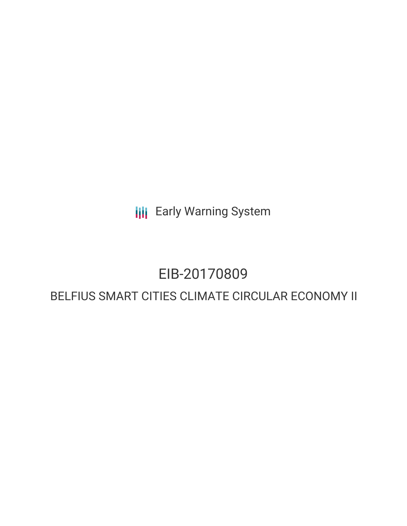**III** Early Warning System

## EIB-20170809

### BELFIUS SMART CITIES CLIMATE CIRCULAR ECONOMY II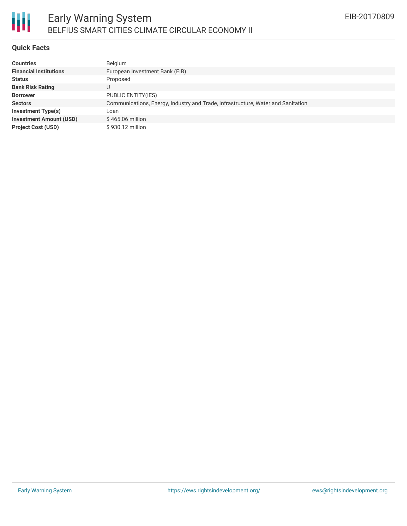

#### **Quick Facts**

| <b>Countries</b>               | Belgium                                                                          |
|--------------------------------|----------------------------------------------------------------------------------|
| <b>Financial Institutions</b>  | European Investment Bank (EIB)                                                   |
| <b>Status</b>                  | Proposed                                                                         |
| <b>Bank Risk Rating</b>        | U                                                                                |
| <b>Borrower</b>                | <b>PUBLIC ENTITY(IES)</b>                                                        |
| <b>Sectors</b>                 | Communications, Energy, Industry and Trade, Infrastructure, Water and Sanitation |
| <b>Investment Type(s)</b>      | Loan                                                                             |
| <b>Investment Amount (USD)</b> | \$465.06 million                                                                 |
| <b>Project Cost (USD)</b>      | \$930.12 million                                                                 |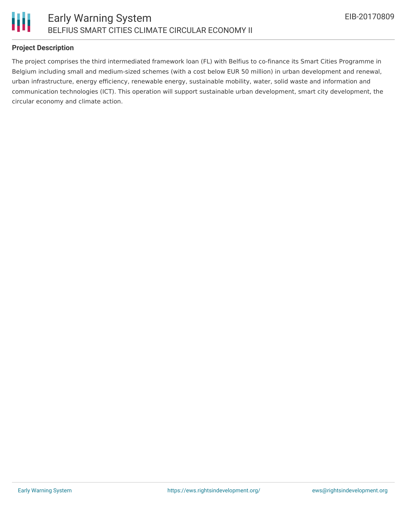

#### **Project Description**

The project comprises the third intermediated framework loan (FL) with Belfius to co-finance its Smart Cities Programme in Belgium including small and medium-sized schemes (with a cost below EUR 50 million) in urban development and renewal, urban infrastructure, energy efficiency, renewable energy, sustainable mobility, water, solid waste and information and communication technologies (ICT). This operation will support sustainable urban development, smart city development, the circular economy and climate action.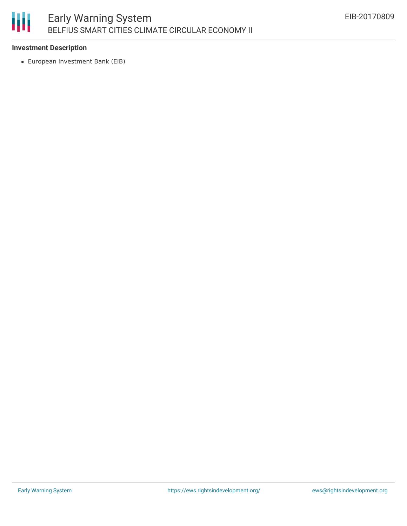# 朋

#### **Investment Description**

European Investment Bank (EIB)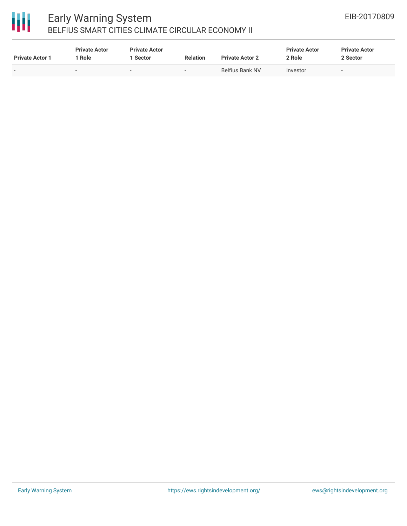

## 冊

#### Early Warning System BELFIUS SMART CITIES CLIMATE CIRCULAR ECONOMY II

| <b>Private Actor 1</b> | <b>Private Actor</b><br>Role | <b>Private Actor</b><br>Sector | <b>Relation</b>          | <b>Private Actor 2</b> | <b>Private Actor</b><br>2 Role | <b>Private Actor</b><br>2 Sector |  |
|------------------------|------------------------------|--------------------------------|--------------------------|------------------------|--------------------------------|----------------------------------|--|
| -                      | $\overline{\phantom{a}}$     |                                | $\overline{\phantom{0}}$ | Belfius Bank NV        | Investor                       | $\overline{\phantom{0}}$         |  |